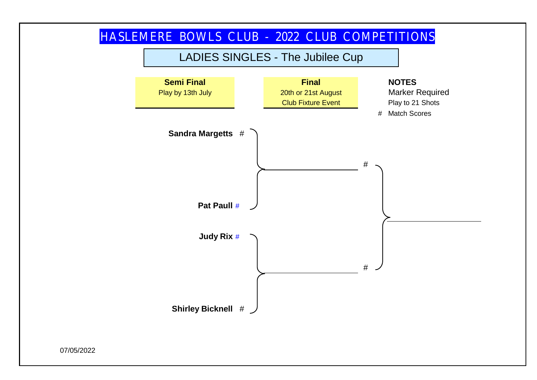

07/05/2022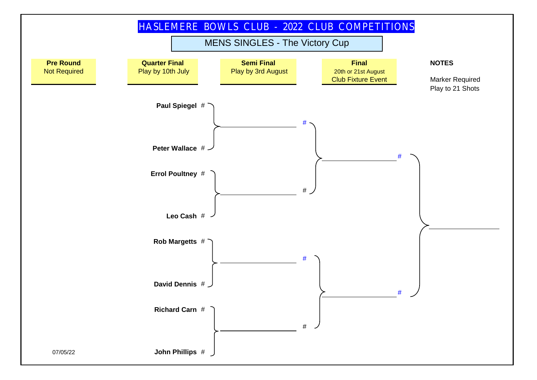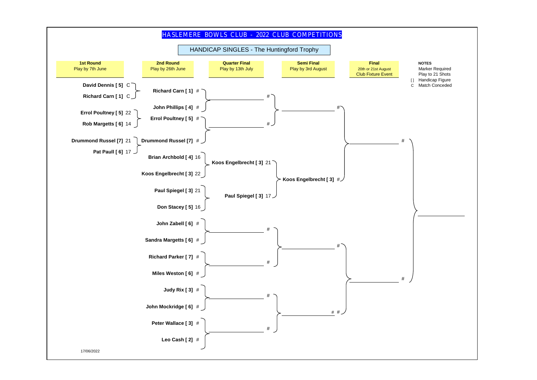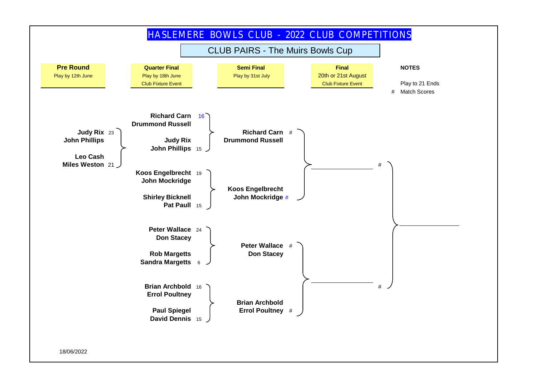